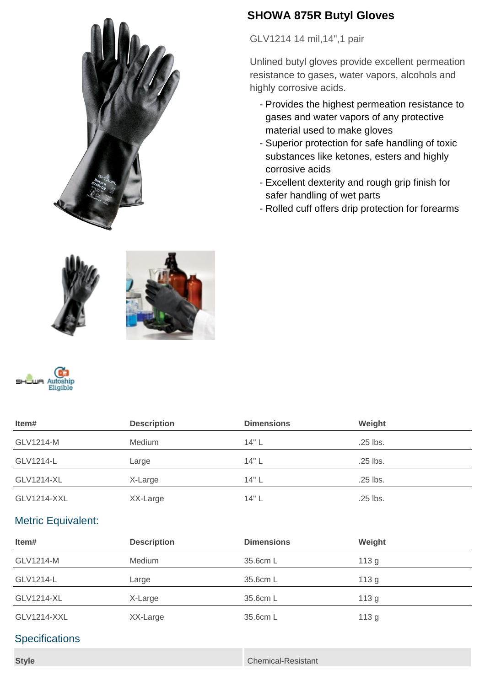

## **SHOWA 875R Butyl Gloves**

GLV1214 14 mil,14",1 pair

Unlined butyl gloves provide excellent permeation resistance to gases, water vapors, alcohols and highly corrosive acids.

- Provides the highest permeation resistance to gases and water vapors of any protective material used to make gloves
- Superior protection for safe handling of toxic substances like ketones, esters and highly corrosive acids
- Excellent dexterity and rough grip finish for safer handling of wet parts
- Rolled cuff offers drip protection for forearms





| Item#                     | <b>Description</b> | <b>Dimensions</b> | Weight   |  |
|---------------------------|--------------------|-------------------|----------|--|
| GLV1214-M                 | Medium             | 14" L             | .25 lbs. |  |
| GLV1214-L                 | Large              | 14" L             | .25 lbs. |  |
| <b>GLV1214-XL</b>         | X-Large            | 14" L             | .25 lbs. |  |
| <b>GLV1214-XXL</b>        | XX-Large           | 14" L             | .25 lbs. |  |
| <b>Metric Equivalent:</b> |                    |                   |          |  |
| Item#                     | <b>Description</b> | <b>Dimensions</b> | Weight   |  |
| GLV1214-M                 | Medium             | 35.6cm L          | 113g     |  |
| GLV1214-L                 | Large              | 35.6cm L          | 113g     |  |
| <b>GLV1214-XL</b>         | X-Large            | 35.6cm L          | 113g     |  |
|                           |                    |                   |          |  |
| <b>GLV1214-XXL</b>        | XX-Large           | 35.6cm L          | 113g     |  |

## **Specifications**

**Style** Chemical-Resistant